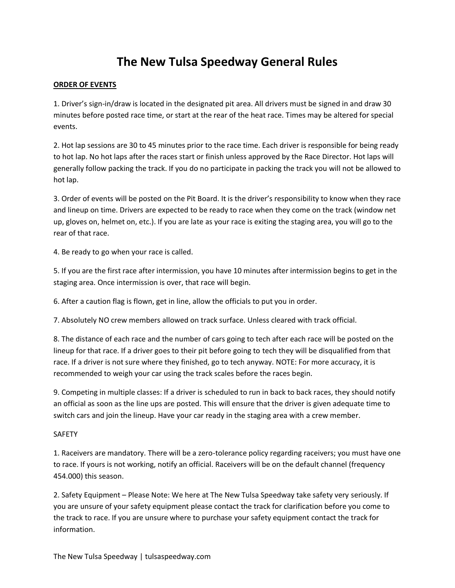# **The New Tulsa Speedway General Rules**

#### **ORDER OF EVENTS**

1. Driver's sign-in/draw is located in the designated pit area. All drivers must be signed in and draw 30 minutes before posted race time, or start at the rear of the heat race. Times may be altered for special events.

2. Hot lap sessions are 30 to 45 minutes prior to the race time. Each driver is responsible for being ready to hot lap. No hot laps after the races start or finish unless approved by the Race Director. Hot laps will generally follow packing the track. If you do no participate in packing the track you will not be allowed to hot lap.

3. Order of events will be posted on the Pit Board. It is the driver's responsibility to know when they race and lineup on time. Drivers are expected to be ready to race when they come on the track (window net up, gloves on, helmet on, etc.). If you are late as your race is exiting the staging area, you will go to the rear of that race.

4. Be ready to go when your race is called.

5. If you are the first race after intermission, you have 10 minutes after intermission begins to get in the staging area. Once intermission is over, that race will begin.

6. After a caution flag is flown, get in line, allow the officials to put you in order.

7. Absolutely NO crew members allowed on track surface. Unless cleared with track official.

8. The distance of each race and the number of cars going to tech after each race will be posted on the lineup for that race. If a driver goes to their pit before going to tech they will be disqualified from that race. If a driver is not sure where they finished, go to tech anyway. NOTE: For more accuracy, it is recommended to weigh your car using the track scales before the races begin.

9. Competing in multiple classes: If a driver is scheduled to run in back to back races, they should notify an official as soon as the line ups are posted. This will ensure that the driver is given adequate time to switch cars and join the lineup. Have your car ready in the staging area with a crew member.

#### **SAFFTY**

1. Raceivers are mandatory. There will be a zero-tolerance policy regarding raceivers; you must have one to race. If yours is not working, notify an official. Raceivers will be on the default channel (frequency 454.000) this season.

2. Safety Equipment – Please Note: We here at The New Tulsa Speedway take safety very seriously. If you are unsure of your safety equipment please contact the track for clarification before you come to the track to race. If you are unsure where to purchase your safety equipment contact the track for information.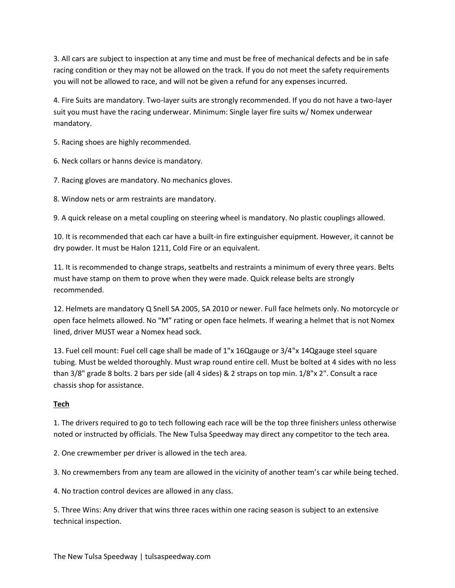3. All cars are subject to inspection at any time and must be free of mechanical defects and be in safe racing condition or they may not be allowed on the track. If you do not meet the safety requirements you will not be allowed to race, and will not be given a refund for any expenses incurred.

4. Fire Suits are mandatory. Two-layer suits are strongly recommended. If you do not have a two-layer suit you must have the racing underwear. Minimum: Single layer fire suits w/ Nomex underwear mandatory.

5. Racing shoes are highly recommended.

6. Neck collars or hanns device is mandatory.

7. Racing gloves are mandatory. No mechanics gloves.

8. Window nets or arm restraints are mandatory.

9. A quick release on a metal coupling on steering wheel is mandatory. No plastic couplings allowed.

10. It is recommended that each car have a built-in fire extinguisher equipment. However, it cannot be dry powder. It must be Halon 1211, Cold Fire or an equivalent.

11. It is recommended to change straps, seatbelts and restraints a minimum of every three years. Belts must have stamp on them to prove when they were made. Quick release belts are strongly recommended.

12. Helmets are mandatory Q Snell SA 2005, SA 2010 or newer. Full face helmets only. No motorcycle or open face helmets allowed. No "M" rating or open face helmets. If wearing a helmet that is not Nomex lined, driver MUST wear a Nomex head sock.

13. Fuel cell mount: Fuel cell cage shall be made of 1"x 16Qgauge or 3/4"x 14Qgauge steel square tubing. Must be welded thoroughly. Must wrap round entire cell. Must be bolted at 4 sides with no less than 3/8" grade 8 bolts. 2 bars per side (all 4 sides) & 2 straps on top min. 1/8"x 2". Consult a race chassis shop for assistance.

## **Tech**

1. The drivers required to go to tech following each race will be the top three finishers unless otherwise noted or instructed by officials. The New Tulsa Speedway may direct any competitor to the tech area.

2. One crewmember per driver is allowed in the tech area.

3. No crewmembers from any team are allowed in the vicinity of another team's car while being teched.

4. No traction control devices are allowed in any class.

5. Three Wins: Any driver that wins three races within one racing season is subject to an extensive technical inspection.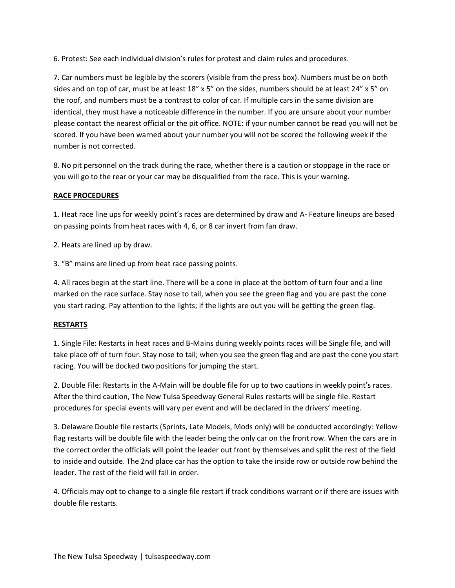6. Protest: See each individual division's rules for protest and claim rules and procedures.

7. Car numbers must be legible by the scorers (visible from the press box). Numbers must be on both sides and on top of car, must be at least 18" x 5" on the sides, numbers should be at least 24" x 5" on the roof, and numbers must be a contrast to color of car. If multiple cars in the same division are identical, they must have a noticeable difference in the number. If you are unsure about your number please contact the nearest official or the pit office. NOTE: if your number cannot be read you will not be scored. If you have been warned about your number you will not be scored the following week if the number is not corrected.

8. No pit personnel on the track during the race, whether there is a caution or stoppage in the race or you will go to the rear or your car may be disqualified from the race. This is your warning.

#### **RACE PROCEDURES**

1. Heat race line ups for weekly point's races are determined by draw and A- Feature lineups are based on passing points from heat races with 4, 6, or 8 car invert from fan draw.

2. Heats are lined up by draw.

3. "B" mains are lined up from heat race passing points.

4. All races begin at the start line. There will be a cone in place at the bottom of turn four and a line marked on the race surface. Stay nose to tail, when you see the green flag and you are past the cone you start racing. Pay attention to the lights; if the lights are out you will be getting the green flag.

#### **RESTARTS**

1. Single File: Restarts in heat races and B-Mains during weekly points races will be Single file, and will take place off of turn four. Stay nose to tail; when you see the green flag and are past the cone you start racing. You will be docked two positions for jumping the start.

2. Double File: Restarts in the A-Main will be double file for up to two cautions in weekly point's races. After the third caution, The New Tulsa Speedway General Rules restarts will be single file. Restart procedures for special events will vary per event and will be declared in the drivers' meeting.

3. Delaware Double file restarts (Sprints, Late Models, Mods only) will be conducted accordingly: Yellow flag restarts will be double file with the leader being the only car on the front row. When the cars are in the correct order the officials will point the leader out front by themselves and split the rest of the field to inside and outside. The 2nd place car has the option to take the inside row or outside row behind the leader. The rest of the field will fall in order.

4. Officials may opt to change to a single file restart if track conditions warrant or if there are issues with double file restarts.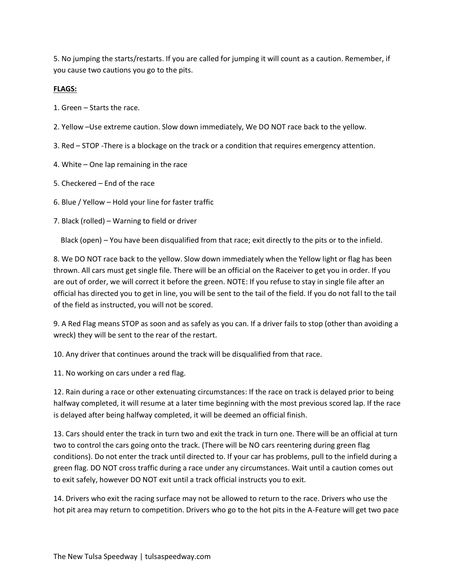5. No jumping the starts/restarts. If you are called for jumping it will count as a caution. Remember, if you cause two cautions you go to the pits.

### **FLAGS:**

- 1. Green Starts the race.
- 2. Yellow –Use extreme caution. Slow down immediately, We DO NOT race back to the yellow.
- 3. Red STOP -There is a blockage on the track or a condition that requires emergency attention.
- 4. White One lap remaining in the race
- 5. Checkered End of the race
- 6. Blue / Yellow Hold your line for faster traffic
- 7. Black (rolled) Warning to field or driver

Black (open) – You have been disqualified from that race; exit directly to the pits or to the infield.

8. We DO NOT race back to the yellow. Slow down immediately when the Yellow light or flag has been thrown. All cars must get single file. There will be an official on the Raceiver to get you in order. If you are out of order, we will correct it before the green. NOTE: If you refuse to stay in single file after an official has directed you to get in line, you will be sent to the tail of the field. If you do not fall to the tail of the field as instructed, you will not be scored.

9. A Red Flag means STOP as soon and as safely as you can. If a driver fails to stop (other than avoiding a wreck) they will be sent to the rear of the restart.

10. Any driver that continues around the track will be disqualified from that race.

11. No working on cars under a red flag.

12. Rain during a race or other extenuating circumstances: If the race on track is delayed prior to being halfway completed, it will resume at a later time beginning with the most previous scored lap. If the race is delayed after being halfway completed, it will be deemed an official finish.

13. Cars should enter the track in turn two and exit the track in turn one. There will be an official at turn two to control the cars going onto the track. (There will be NO cars reentering during green flag conditions). Do not enter the track until directed to. If your car has problems, pull to the infield during a green flag. DO NOT cross traffic during a race under any circumstances. Wait until a caution comes out to exit safely, however DO NOT exit until a track official instructs you to exit.

14. Drivers who exit the racing surface may not be allowed to return to the race. Drivers who use the hot pit area may return to competition. Drivers who go to the hot pits in the A-Feature will get two pace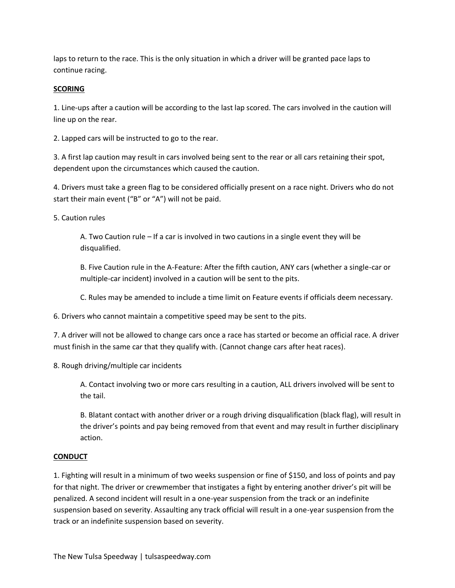laps to return to the race. This is the only situation in which a driver will be granted pace laps to continue racing.

#### **SCORING**

1. Line-ups after a caution will be according to the last lap scored. The cars involved in the caution will line up on the rear.

2. Lapped cars will be instructed to go to the rear.

3. A first lap caution may result in cars involved being sent to the rear or all cars retaining their spot, dependent upon the circumstances which caused the caution.

4. Drivers must take a green flag to be considered officially present on a race night. Drivers who do not start their main event ("B" or "A") will not be paid.

5. Caution rules

A. Two Caution rule – If a car is involved in two cautions in a single event they will be disqualified.

B. Five Caution rule in the A-Feature: After the fifth caution, ANY cars (whether a single-car or multiple-car incident) involved in a caution will be sent to the pits.

C. Rules may be amended to include a time limit on Feature events if officials deem necessary.

6. Drivers who cannot maintain a competitive speed may be sent to the pits.

7. A driver will not be allowed to change cars once a race has started or become an official race. A driver must finish in the same car that they qualify with. (Cannot change cars after heat races).

8. Rough driving/multiple car incidents

A. Contact involving two or more cars resulting in a caution, ALL drivers involved will be sent to the tail.

B. Blatant contact with another driver or a rough driving disqualification (black flag), will result in the driver's points and pay being removed from that event and may result in further disciplinary action.

#### **CONDUCT**

1. Fighting will result in a minimum of two weeks suspension or fine of \$150, and loss of points and pay for that night. The driver or crewmember that instigates a fight by entering another driver's pit will be penalized. A second incident will result in a one-year suspension from the track or an indefinite suspension based on severity. Assaulting any track official will result in a one-year suspension from the track or an indefinite suspension based on severity.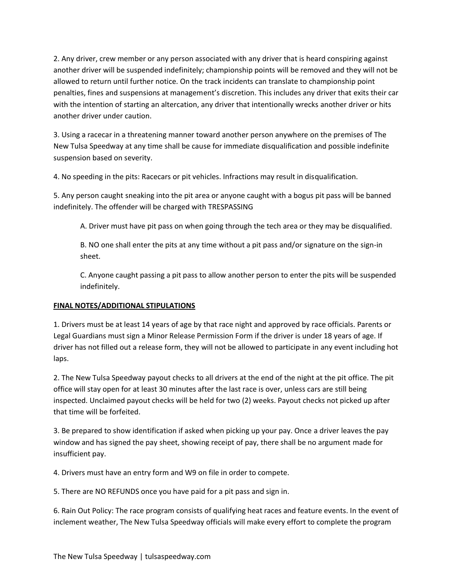2. Any driver, crew member or any person associated with any driver that is heard conspiring against another driver will be suspended indefinitely; championship points will be removed and they will not be allowed to return until further notice. On the track incidents can translate to championship point penalties, fines and suspensions at management's discretion. This includes any driver that exits their car with the intention of starting an altercation, any driver that intentionally wrecks another driver or hits another driver under caution.

3. Using a racecar in a threatening manner toward another person anywhere on the premises of The New Tulsa Speedway at any time shall be cause for immediate disqualification and possible indefinite suspension based on severity.

4. No speeding in the pits: Racecars or pit vehicles. Infractions may result in disqualification.

5. Any person caught sneaking into the pit area or anyone caught with a bogus pit pass will be banned indefinitely. The offender will be charged with TRESPASSING

A. Driver must have pit pass on when going through the tech area or they may be disqualified.

B. NO one shall enter the pits at any time without a pit pass and/or signature on the sign-in sheet.

C. Anyone caught passing a pit pass to allow another person to enter the pits will be suspended indefinitely.

## **FINAL NOTES/ADDITIONAL STIPULATIONS**

1. Drivers must be at least 14 years of age by that race night and approved by race officials. Parents or Legal Guardians must sign a Minor Release Permission Form if the driver is under 18 years of age. If driver has not filled out a release form, they will not be allowed to participate in any event including hot laps.

2. The New Tulsa Speedway payout checks to all drivers at the end of the night at the pit office. The pit office will stay open for at least 30 minutes after the last race is over, unless cars are still being inspected. Unclaimed payout checks will be held for two (2) weeks. Payout checks not picked up after that time will be forfeited.

3. Be prepared to show identification if asked when picking up your pay. Once a driver leaves the pay window and has signed the pay sheet, showing receipt of pay, there shall be no argument made for insufficient pay.

4. Drivers must have an entry form and W9 on file in order to compete.

5. There are NO REFUNDS once you have paid for a pit pass and sign in.

6. Rain Out Policy: The race program consists of qualifying heat races and feature events. In the event of inclement weather, The New Tulsa Speedway officials will make every effort to complete the program